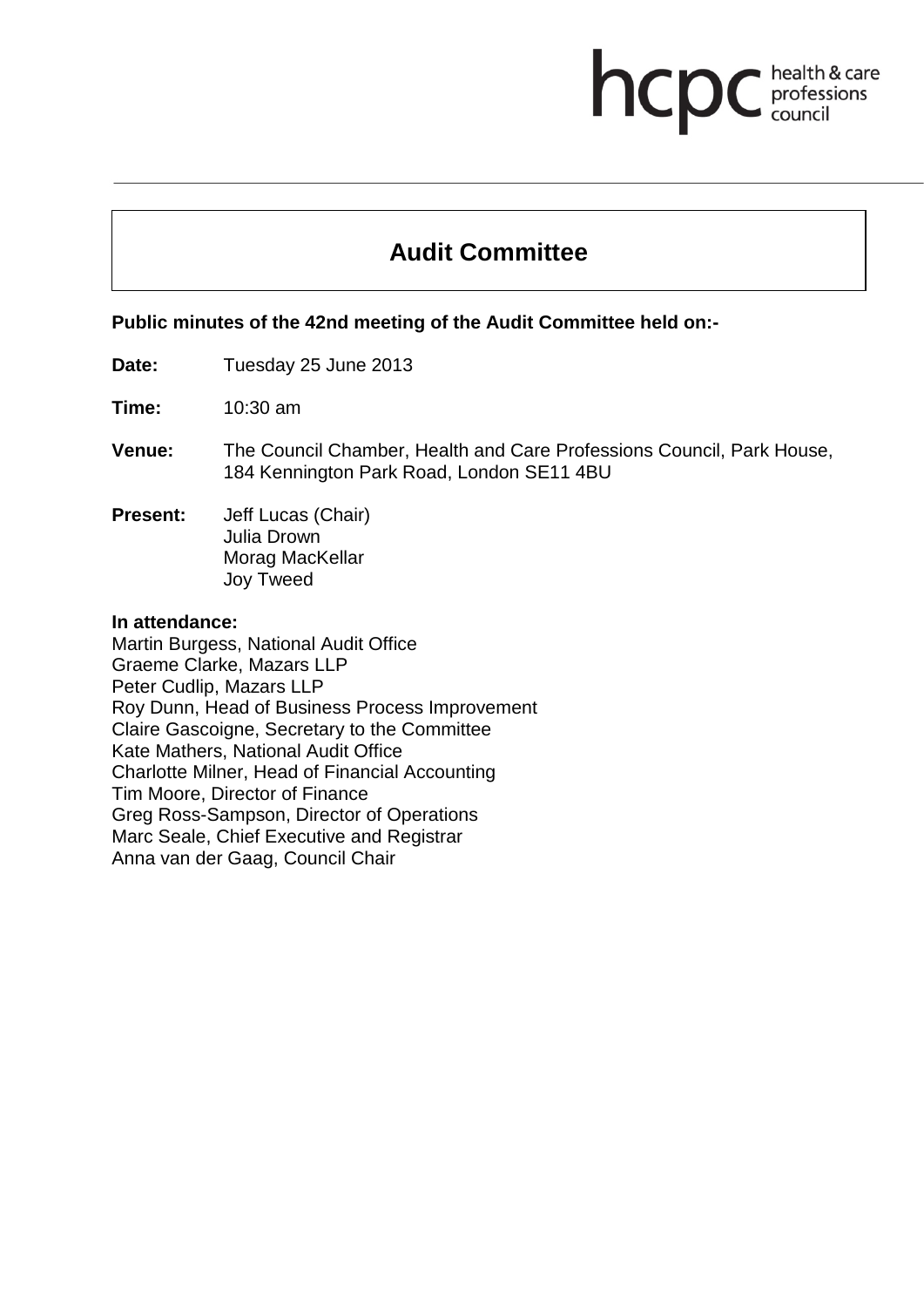# **Audit Committee**

health & care<br>professions<br>council

hcp

**Public minutes of the 42nd meeting of the Audit Committee held on:-**

**Date:** Tuesday 25 June 2013

**Time:** 10:30 am

- **Venue:** The Council Chamber, Health and Care Professions Council, Park House, 184 Kennington Park Road, London SE11 4BU
- **Present:** Jeff Lucas (Chair) Julia Drown Morag MacKellar Joy Tweed

#### **In attendance:**

Martin Burgess, National Audit Office Graeme Clarke, Mazars LLP Peter Cudlip, Mazars LLP Roy Dunn, Head of Business Process Improvement Claire Gascoigne, Secretary to the Committee Kate Mathers, National Audit Office Charlotte Milner, Head of Financial Accounting Tim Moore, Director of Finance Greg Ross-Sampson, Director of Operations Marc Seale, Chief Executive and Registrar Anna van der Gaag, Council Chair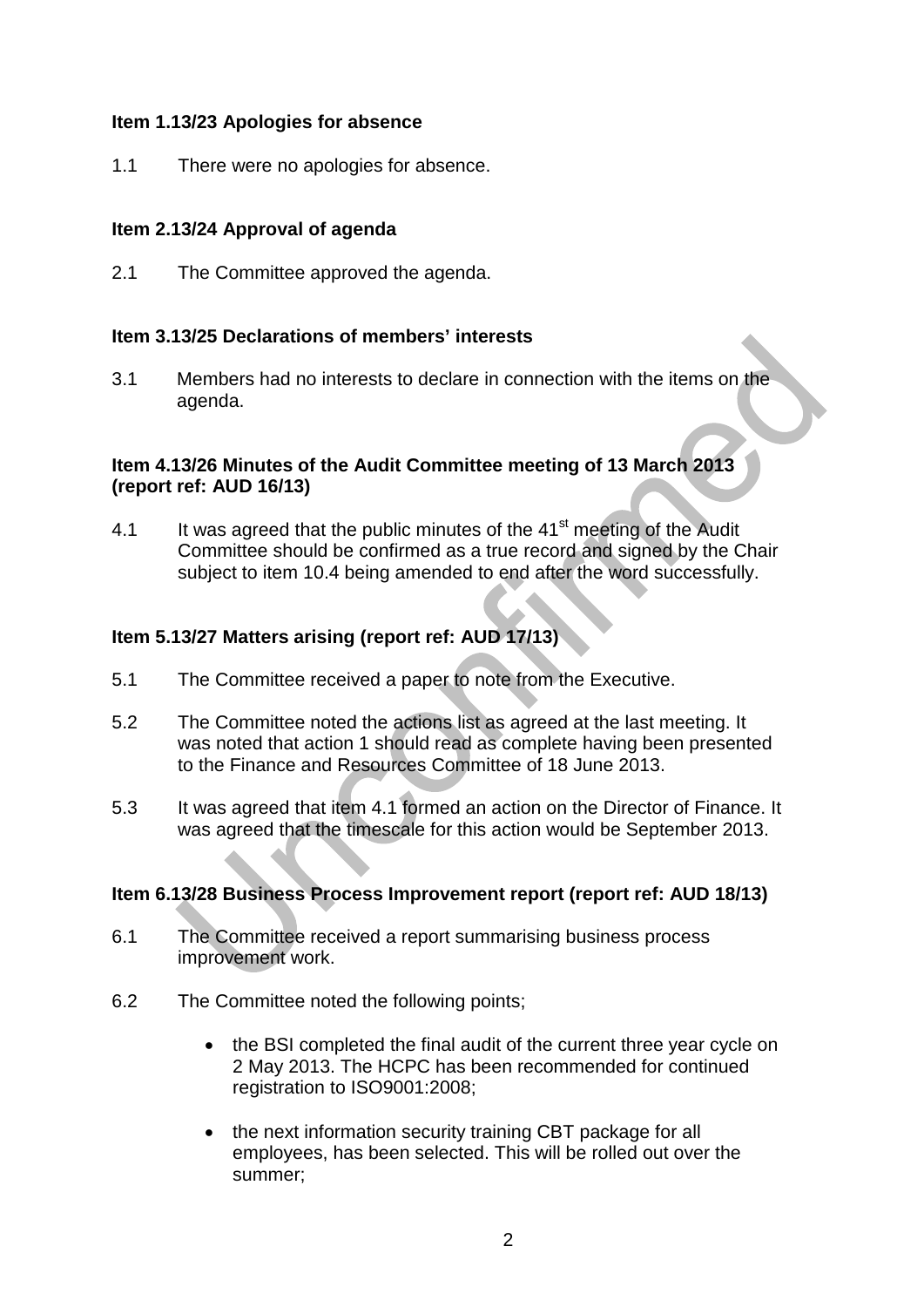### **Item 1.13/23 Apologies for absence**

1.1 There were no apologies for absence.

## **Item 2.13/24 Approval of agenda**

2.1 The Committee approved the agenda.

### **Item 3.13/25 Declarations of members' interests**

3.1 Members had no interests to declare in connection with the items on the agenda.

### **Item 4.13/26 Minutes of the Audit Committee meeting of 13 March 2013 (report ref: AUD 16/13)**

4.1 It was agreed that the public minutes of the  $41<sup>st</sup>$  meeting of the Audit Committee should be confirmed as a true record and signed by the Chair subject to item 10.4 being amended to end after the word successfully.

### **Item 5.13/27 Matters arising (report ref: AUD 17/13)**

- 5.1 The Committee received a paper to note from the Executive.
- 5.2 The Committee noted the actions list as agreed at the last meeting. It was noted that action 1 should read as complete having been presented to the Finance and Resources Committee of 18 June 2013.
- 5.3 It was agreed that item 4.1 formed an action on the Director of Finance. It was agreed that the timescale for this action would be September 2013.

#### **Item 6.13/28 Business Process Improvement report (report ref: AUD 18/13)**

- 6.1 The Committee received a report summarising business process improvement work.
- 6.2 The Committee noted the following points;
	- the BSI completed the final audit of the current three year cycle on 2 May 2013. The HCPC has been recommended for continued registration to ISO9001:2008;
	- the next information security training CBT package for all employees, has been selected. This will be rolled out over the summer;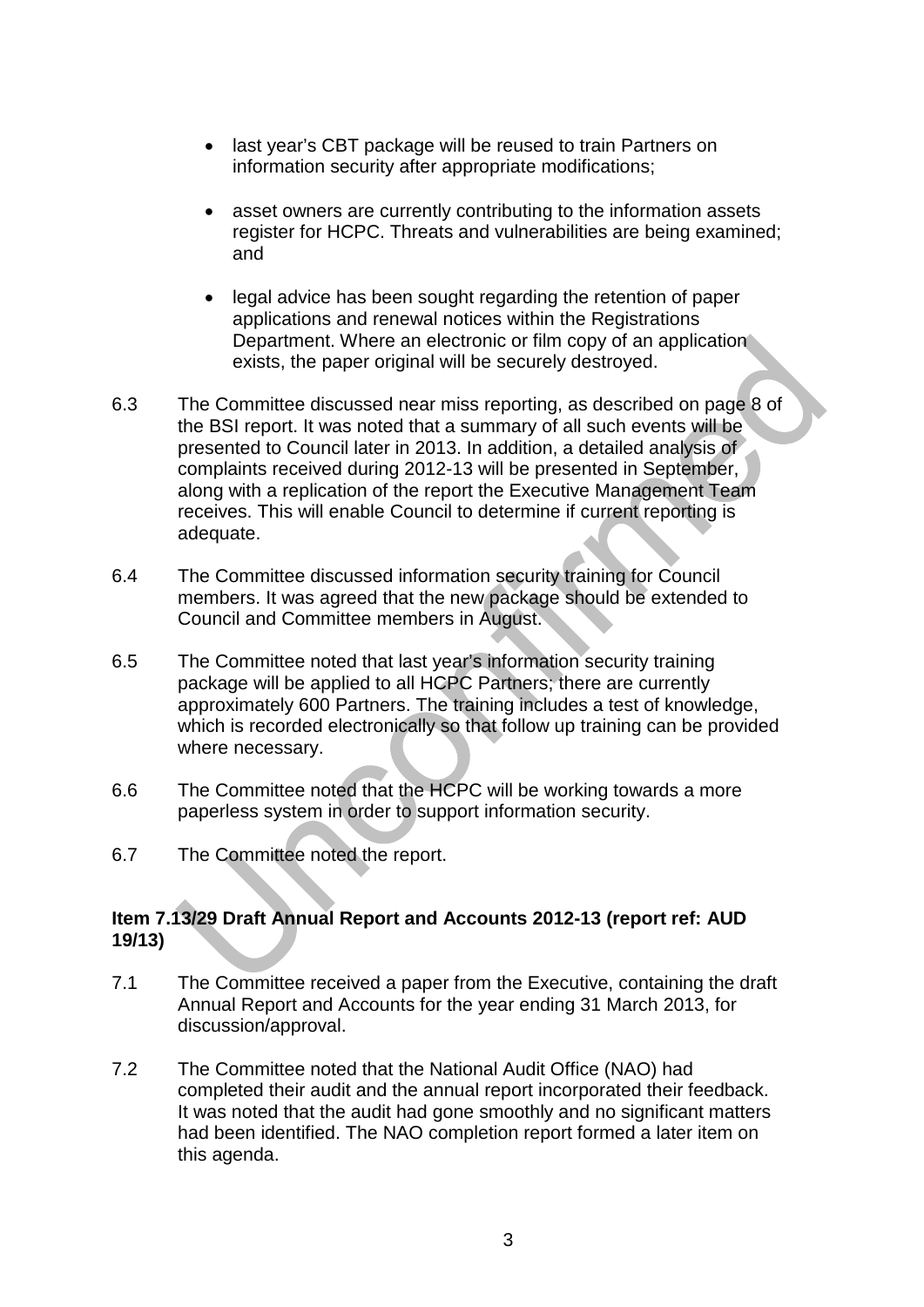- last year's CBT package will be reused to train Partners on information security after appropriate modifications;
- asset owners are currently contributing to the information assets register for HCPC. Threats and vulnerabilities are being examined; and
- legal advice has been sought regarding the retention of paper applications and renewal notices within the Registrations Department. Where an electronic or film copy of an application exists, the paper original will be securely destroyed.
- 6.3 The Committee discussed near miss reporting, as described on page 8 of the BSI report. It was noted that a summary of all such events will be presented to Council later in 2013. In addition, a detailed analysis of complaints received during 2012-13 will be presented in September, along with a replication of the report the Executive Management Team receives. This will enable Council to determine if current reporting is adequate.
- 6.4 The Committee discussed information security training for Council members. It was agreed that the new package should be extended to Council and Committee members in August.
- 6.5 The Committee noted that last year's information security training package will be applied to all HCPC Partners; there are currently approximately 600 Partners. The training includes a test of knowledge, which is recorded electronically so that follow up training can be provided where necessary.
- 6.6 The Committee noted that the HCPC will be working towards a more paperless system in order to support information security.
- 6.7 The Committee noted the report.

## **Item 7.13/29 Draft Annual Report and Accounts 2012-13 (report ref: AUD 19/13)**

- 7.1 The Committee received a paper from the Executive, containing the draft Annual Report and Accounts for the year ending 31 March 2013, for discussion/approval.
- 7.2 The Committee noted that the National Audit Office (NAO) had completed their audit and the annual report incorporated their feedback. It was noted that the audit had gone smoothly and no significant matters had been identified. The NAO completion report formed a later item on this agenda.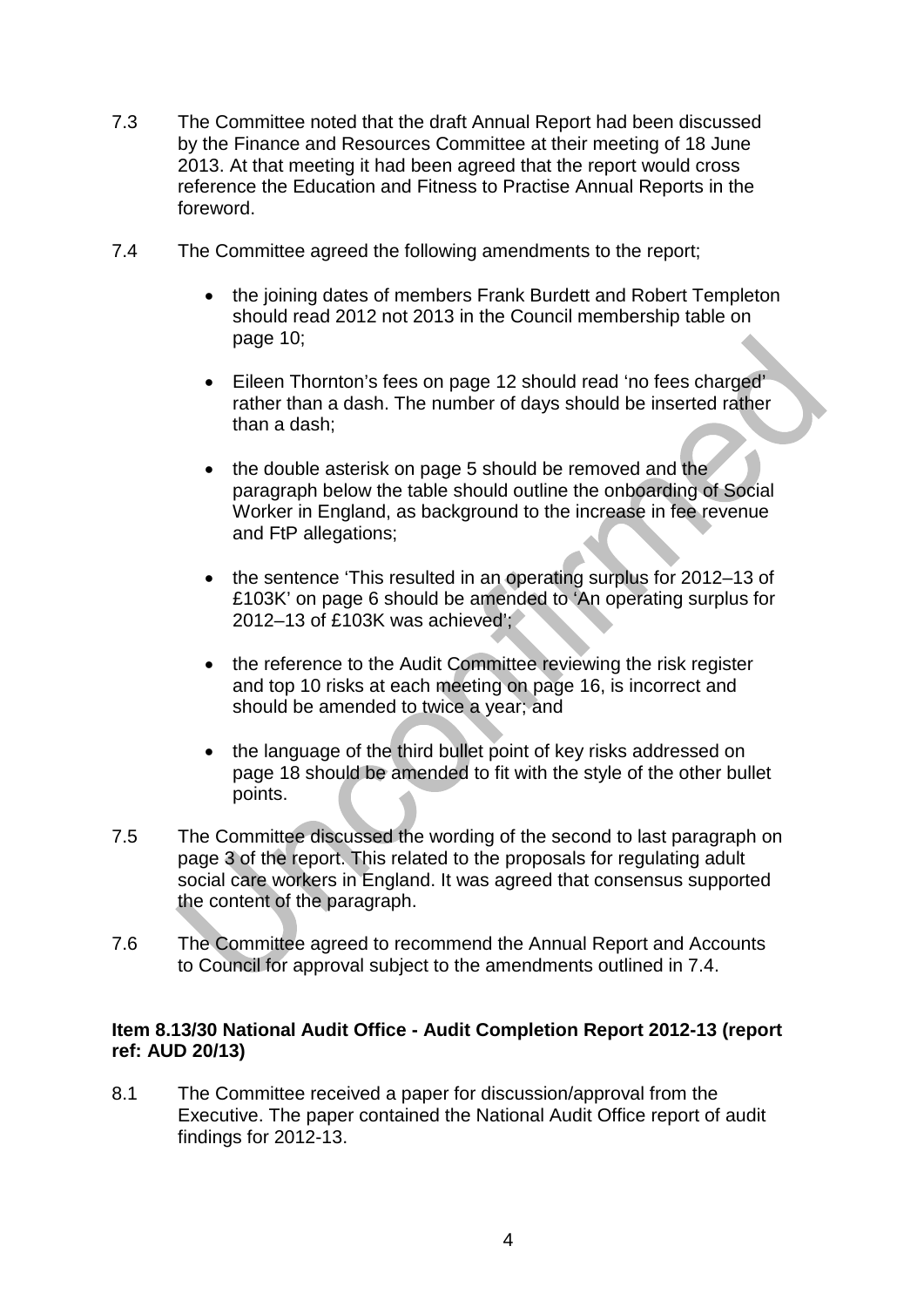- 7.3 The Committee noted that the draft Annual Report had been discussed by the Finance and Resources Committee at their meeting of 18 June 2013. At that meeting it had been agreed that the report would cross reference the Education and Fitness to Practise Annual Reports in the foreword.
- 7.4 The Committee agreed the following amendments to the report;
	- the joining dates of members Frank Burdett and Robert Templeton should read 2012 not 2013 in the Council membership table on page 10;
	- Eileen Thornton's fees on page 12 should read 'no fees charged' rather than a dash. The number of days should be inserted rather than a dash;
	- the double asterisk on page 5 should be removed and the paragraph below the table should outline the onboarding of Social Worker in England, as background to the increase in fee revenue and FtP allegations;
	- the sentence 'This resulted in an operating surplus for 2012–13 of £103K' on page 6 should be amended to 'An operating surplus for 2012–13 of £103K was achieved';
	- the reference to the Audit Committee reviewing the risk register and top 10 risks at each meeting on page 16, is incorrect and should be amended to twice a year; and
	- the language of the third bullet point of key risks addressed on page 18 should be amended to fit with the style of the other bullet points.
- 7.5 The Committee discussed the wording of the second to last paragraph on page 3 of the report. This related to the proposals for regulating adult social care workers in England. It was agreed that consensus supported the content of the paragraph.
- 7.6 The Committee agreed to recommend the Annual Report and Accounts to Council for approval subject to the amendments outlined in 7.4.

#### **Item 8.13/30 National Audit Office - Audit Completion Report 2012-13 (report ref: AUD 20/13)**

8.1 The Committee received a paper for discussion/approval from the Executive. The paper contained the National Audit Office report of audit findings for 2012-13.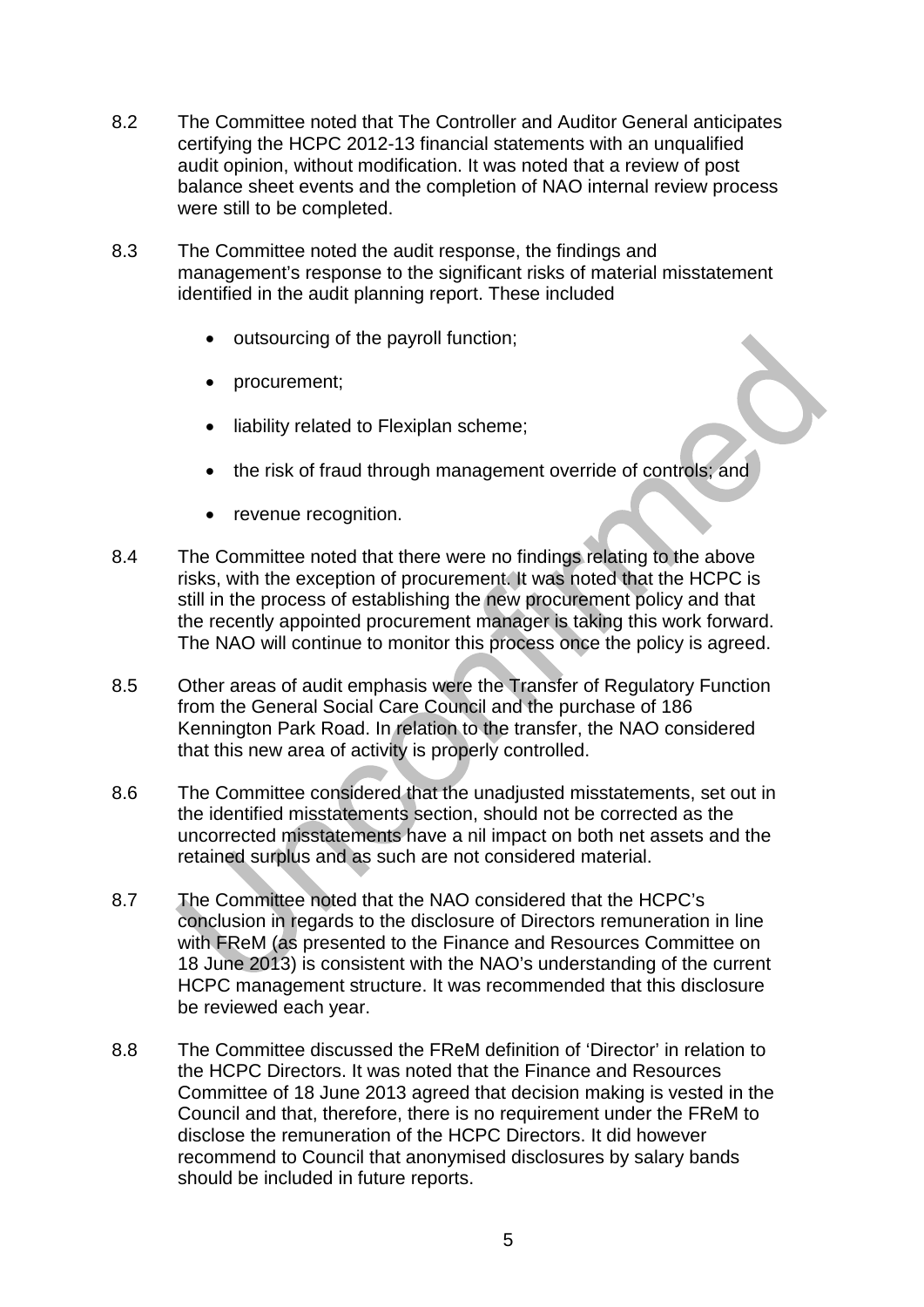- 8.2 The Committee noted that The Controller and Auditor General anticipates certifying the HCPC 2012-13 financial statements with an unqualified audit opinion, without modification. It was noted that a review of post balance sheet events and the completion of NAO internal review process were still to be completed.
- 8.3 The Committee noted the audit response, the findings and management's response to the significant risks of material misstatement identified in the audit planning report. These included
	- outsourcing of the payroll function;
	- procurement;
	- liability related to Flexiplan scheme;
	- the risk of fraud through management override of controls; and
	- revenue recognition.
- 8.4 The Committee noted that there were no findings relating to the above risks, with the exception of procurement. It was noted that the HCPC is still in the process of establishing the new procurement policy and that the recently appointed procurement manager is taking this work forward. The NAO will continue to monitor this process once the policy is agreed.
- 8.5 Other areas of audit emphasis were the Transfer of Regulatory Function from the General Social Care Council and the purchase of 186 Kennington Park Road. In relation to the transfer, the NAO considered that this new area of activity is properly controlled.
- 8.6 The Committee considered that the unadjusted misstatements, set out in the identified misstatements section, should not be corrected as the uncorrected misstatements have a nil impact on both net assets and the retained surplus and as such are not considered material.
- 8.7 The Committee noted that the NAO considered that the HCPC's conclusion in regards to the disclosure of Directors remuneration in line with FReM (as presented to the Finance and Resources Committee on 18 June 2013) is consistent with the NAO's understanding of the current HCPC management structure. It was recommended that this disclosure be reviewed each year.
- 8.8 The Committee discussed the FReM definition of 'Director' in relation to the HCPC Directors. It was noted that the Finance and Resources Committee of 18 June 2013 agreed that decision making is vested in the Council and that, therefore, there is no requirement under the FReM to disclose the remuneration of the HCPC Directors. It did however recommend to Council that anonymised disclosures by salary bands should be included in future reports.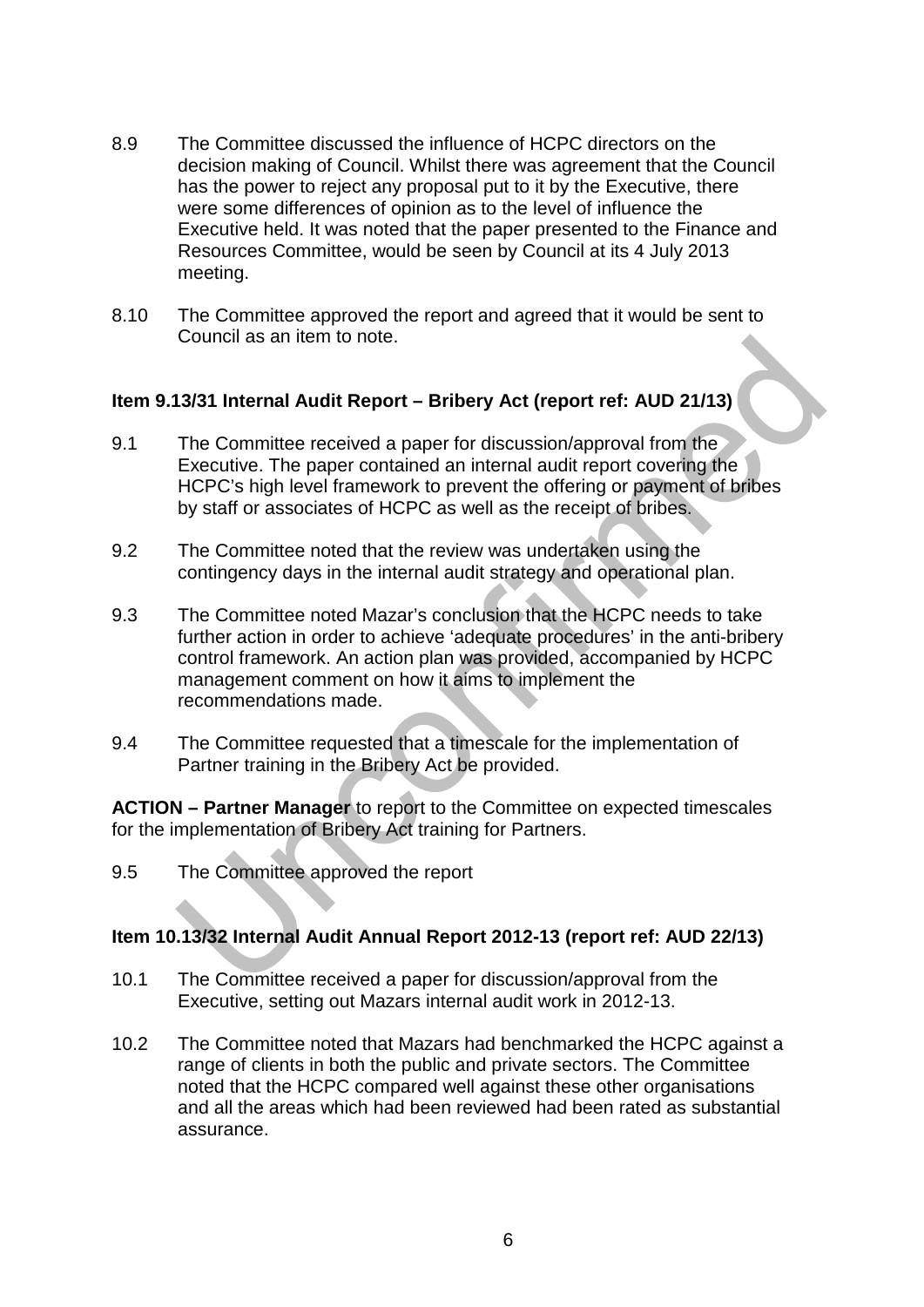- 8.9 The Committee discussed the influence of HCPC directors on the decision making of Council. Whilst there was agreement that the Council has the power to reject any proposal put to it by the Executive, there were some differences of opinion as to the level of influence the Executive held. It was noted that the paper presented to the Finance and Resources Committee, would be seen by Council at its 4 July 2013 meeting.
- 8.10 The Committee approved the report and agreed that it would be sent to Council as an item to note.

## **Item 9.13/31 Internal Audit Report – Bribery Act (report ref: AUD 21/13)**

- 9.1 The Committee received a paper for discussion/approval from the Executive. The paper contained an internal audit report covering the HCPC's high level framework to prevent the offering or payment of bribes by staff or associates of HCPC as well as the receipt of bribes.
- 9.2 The Committee noted that the review was undertaken using the contingency days in the internal audit strategy and operational plan.
- 9.3 The Committee noted Mazar's conclusion that the HCPC needs to take further action in order to achieve 'adequate procedures' in the anti-bribery control framework. An action plan was provided, accompanied by HCPC management comment on how it aims to implement the recommendations made.
- 9.4 The Committee requested that a timescale for the implementation of Partner training in the Bribery Act be provided.

**ACTION – Partner Manager** to report to the Committee on expected timescales for the implementation of Bribery Act training for Partners.

9.5 The Committee approved the report

#### **Item 10.13/32 Internal Audit Annual Report 2012-13 (report ref: AUD 22/13)**

- 10.1 The Committee received a paper for discussion/approval from the Executive, setting out Mazars internal audit work in 2012-13.
- 10.2 The Committee noted that Mazars had benchmarked the HCPC against a range of clients in both the public and private sectors. The Committee noted that the HCPC compared well against these other organisations and all the areas which had been reviewed had been rated as substantial assurance.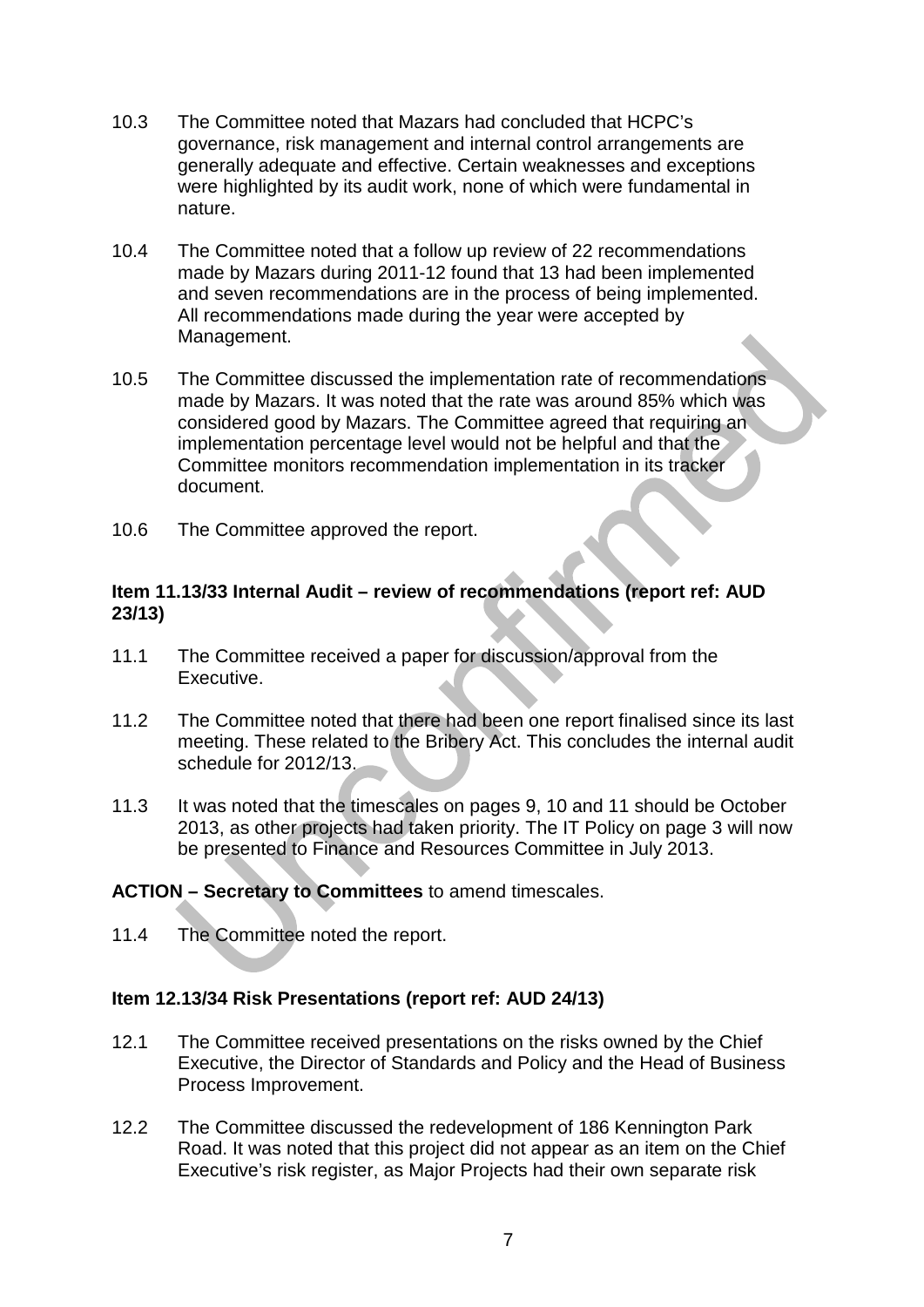- 10.3 The Committee noted that Mazars had concluded that HCPC's governance, risk management and internal control arrangements are generally adequate and effective. Certain weaknesses and exceptions were highlighted by its audit work, none of which were fundamental in nature.
- 10.4 The Committee noted that a follow up review of 22 recommendations made by Mazars during 2011-12 found that 13 had been implemented and seven recommendations are in the process of being implemented. All recommendations made during the year were accepted by Management.
- 10.5 The Committee discussed the implementation rate of recommendations made by Mazars. It was noted that the rate was around 85% which was considered good by Mazars. The Committee agreed that requiring an implementation percentage level would not be helpful and that the Committee monitors recommendation implementation in its tracker document.
- 10.6 The Committee approved the report.

### **Item 11.13/33 Internal Audit – review of recommendations (report ref: AUD 23/13)**

- 11.1 The Committee received a paper for discussion/approval from the Executive.
- 11.2 The Committee noted that there had been one report finalised since its last meeting. These related to the Bribery Act. This concludes the internal audit schedule for 2012/13.
- 11.3 It was noted that the timescales on pages 9, 10 and 11 should be October 2013, as other projects had taken priority. The IT Policy on page 3 will now be presented to Finance and Resources Committee in July 2013.

## **ACTION – Secretary to Committees** to amend timescales.

11.4 The Committee noted the report.

## **Item 12.13/34 Risk Presentations (report ref: AUD 24/13)**

- 12.1 The Committee received presentations on the risks owned by the Chief Executive, the Director of Standards and Policy and the Head of Business Process Improvement.
- 12.2 The Committee discussed the redevelopment of 186 Kennington Park Road. It was noted that this project did not appear as an item on the Chief Executive's risk register, as Major Projects had their own separate risk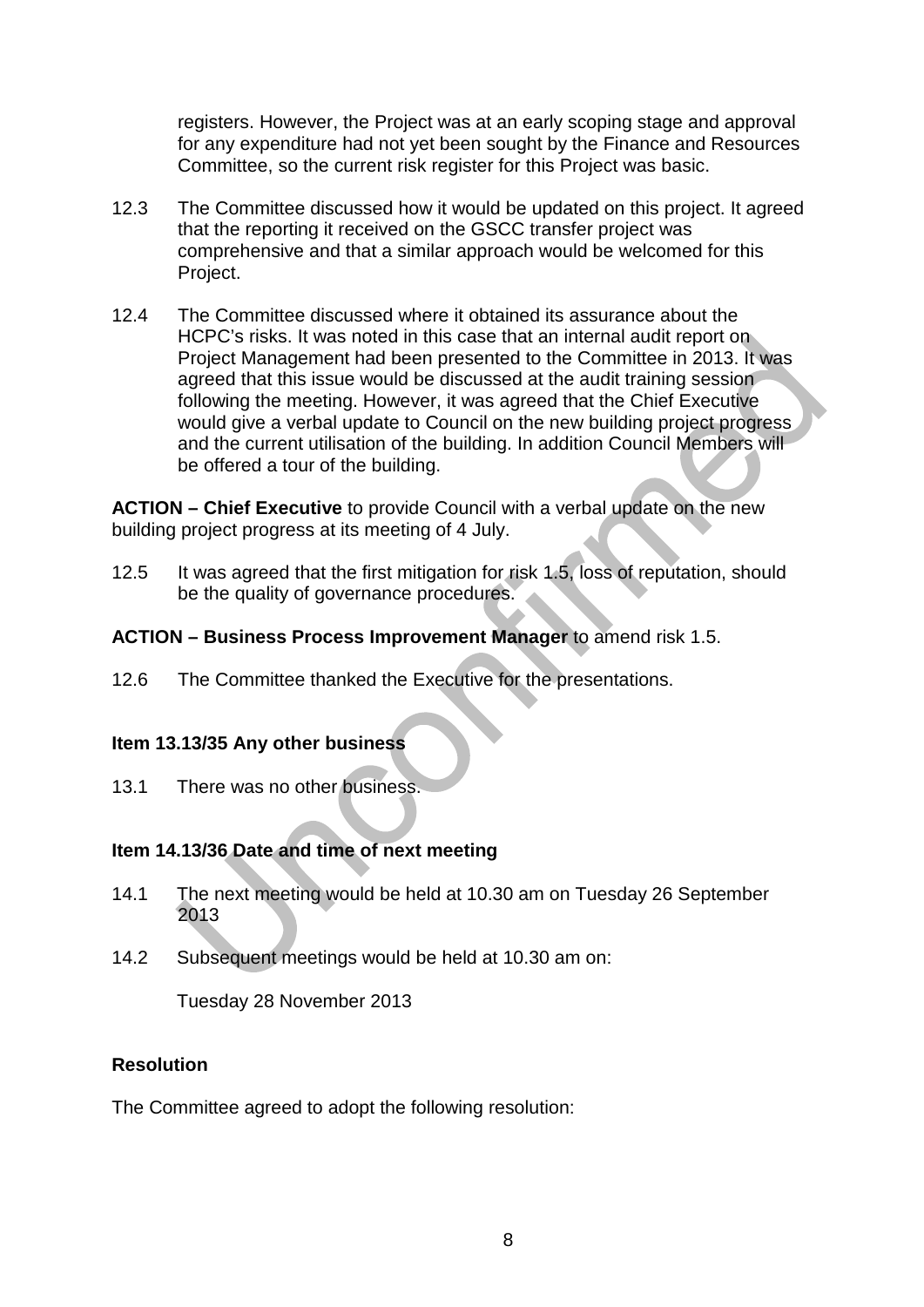registers. However, the Project was at an early scoping stage and approval for any expenditure had not yet been sought by the Finance and Resources Committee, so the current risk register for this Project was basic.

- 12.3 The Committee discussed how it would be updated on this project. It agreed that the reporting it received on the GSCC transfer project was comprehensive and that a similar approach would be welcomed for this Project.
- 12.4 The Committee discussed where it obtained its assurance about the HCPC's risks. It was noted in this case that an internal audit report on Project Management had been presented to the Committee in 2013. It was agreed that this issue would be discussed at the audit training session following the meeting. However, it was agreed that the Chief Executive would give a verbal update to Council on the new building project progress and the current utilisation of the building. In addition Council Members will be offered a tour of the building.

**ACTION – Chief Executive** to provide Council with a verbal update on the new building project progress at its meeting of 4 July.

- 12.5 It was agreed that the first mitigation for risk 1.5, loss of reputation, should be the quality of governance procedures.
- **ACTION – Business Process Improvement Manager** to amend risk 1.5.
- 12.6 The Committee thanked the Executive for the presentations.

#### **Item 13.13/35 Any other business**

13.1 There was no other business.

## **Item 14.13/36 Date and time of next meeting**

- 14.1 The next meeting would be held at 10.30 am on Tuesday 26 September 2013
- 14.2 Subsequent meetings would be held at 10.30 am on:

Tuesday 28 November 2013

## **Resolution**

The Committee agreed to adopt the following resolution: